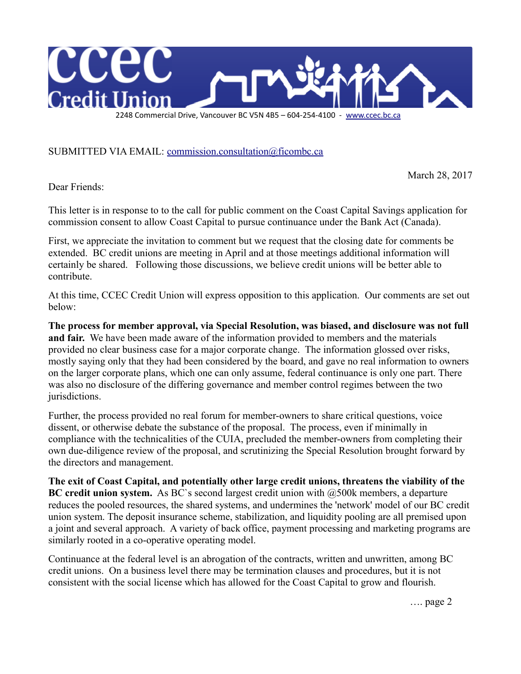

SUBMITTED VIA EMAIL: [commission.consultation@ficombc.ca](mailto:commission.consultation@ficombc.ca)

March 28, 2017

Dear Friends:

This letter is in response to to the call for public comment on the Coast Capital Savings application for commission consent to allow Coast Capital to pursue continuance under the Bank Act (Canada).

First, we appreciate the invitation to comment but we request that the closing date for comments be extended. BC credit unions are meeting in April and at those meetings additional information will certainly be shared. Following those discussions, we believe credit unions will be better able to contribute.

At this time, CCEC Credit Union will express opposition to this application. Our comments are set out below:

**The process for member approval, via Special Resolution, was biased, and disclosure was not full and fair.** We have been made aware of the information provided to members and the materials provided no clear business case for a major corporate change. The information glossed over risks, mostly saying only that they had been considered by the board, and gave no real information to owners on the larger corporate plans, which one can only assume, federal continuance is only one part. There was also no disclosure of the differing governance and member control regimes between the two jurisdictions.

Further, the process provided no real forum for member-owners to share critical questions, voice dissent, or otherwise debate the substance of the proposal. The process, even if minimally in compliance with the technicalities of the CUIA, precluded the member-owners from completing their own due-diligence review of the proposal, and scrutinizing the Special Resolution brought forward by the directors and management.

**The exit of Coast Capital, and potentially other large credit unions, threatens the viability of the BC credit union system.** As BC's second largest credit union with  $@500k$  members, a departure reduces the pooled resources, the shared systems, and undermines the 'network' model of our BC credit union system. The deposit insurance scheme, stabilization, and liquidity pooling are all premised upon a joint and several approach. A variety of back office, payment processing and marketing programs are similarly rooted in a co-operative operating model.

Continuance at the federal level is an abrogation of the contracts, written and unwritten, among BC credit unions. On a business level there may be termination clauses and procedures, but it is not consistent with the social license which has allowed for the Coast Capital to grow and flourish.

…. page 2